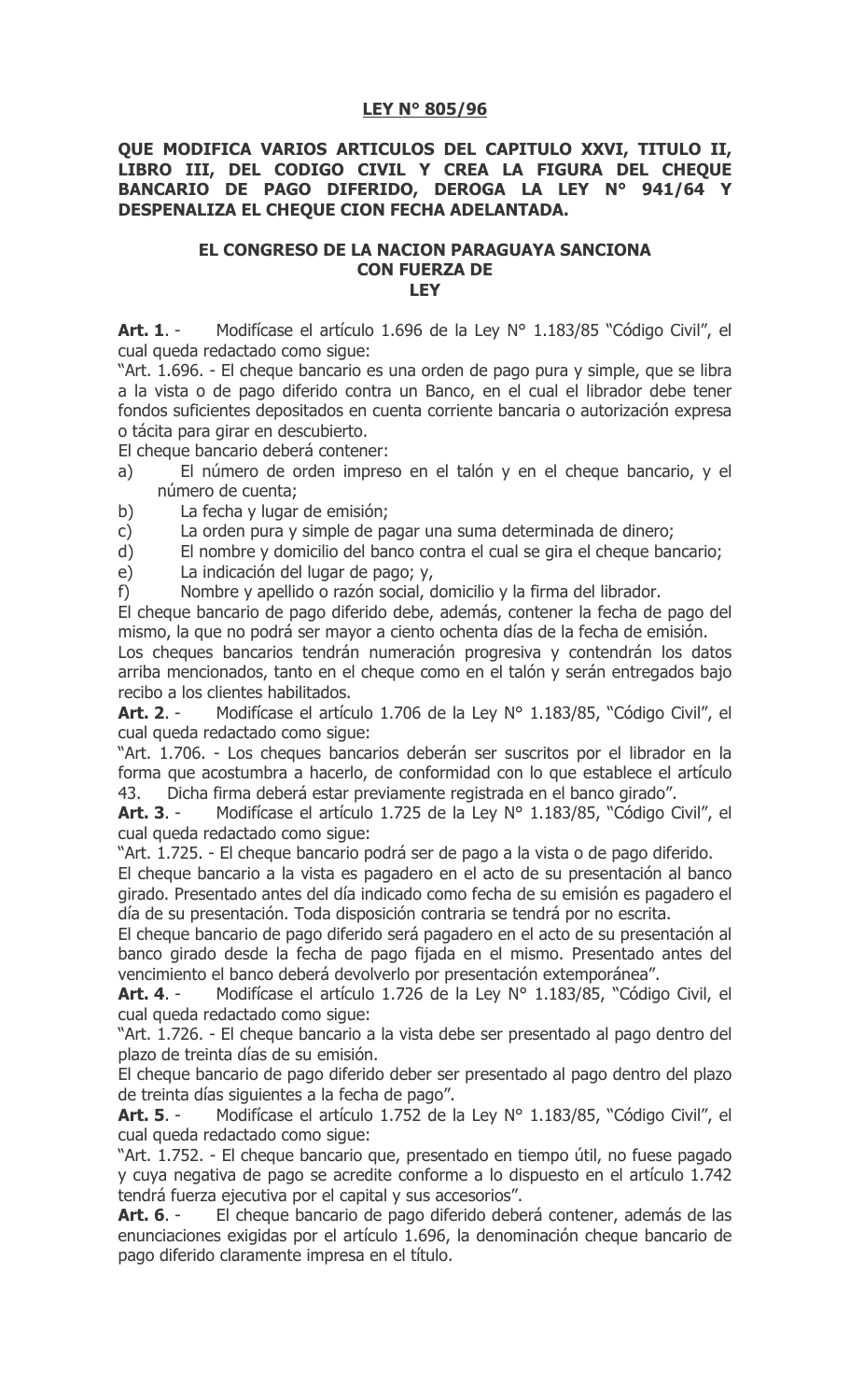## **LEY N° 805/96**

## QUE MODIFICA VARIOS ARTICULOS DEL CAPITULO XXVI, TITULO II, LIBRO III, DEL CODIGO CIVIL Y CREA LA FIGURA DEL CHEQUE BANCARIO DE PAGO DIFERIDO, DEROGA LA LEY Nº 941/64 Y DESPENALIZA EL CHEQUE CION FECHA ADELANTADA.

## EL CONGRESO DE LA NACION PARAGUAYA SANCIONA **CON FUERZA DE IFY**

Modifícase el artículo 1.696 de la Ley Nº 1.183/85 "Código Civil", el **Art. 1.** cual queda redactado como sigue:

"Art. 1.696. - El cheque bancario es una orden de pago pura y simple, que se libra a la vista o de pago diferido contra un Banco, en el cual el librador debe tener fondos suficientes depositados en cuenta corriente bancaria o autorización expresa o tácita para girar en descubierto.

El cheque bancario deberá contener:

- El número de orden impreso en el talón y en el cheque bancario, y el  $a)$ número de cuenta;
- $b)$ La fecha y lugar de emisión;

 $\mathsf{C}$ La orden pura y simple de pagar una suma determinada de dinero;

El nombre y domicilio del banco contra el cual se gira el cheque bancario;  $d)$ 

La indicación del lugar de pago; y, e)

Nombre y apellido o razón social, domicilio y la firma del librador.  $f$ 

El cheque bancario de pago diferido debe, además, contener la fecha de pago del mismo, la que no podrá ser mayor a ciento ochenta días de la fecha de emisión.

Los cheques bancarios tendrán numeración progresiva y contendrán los datos arriba mencionados, tanto en el cheque como en el talón y serán entregados bajo recibo a los clientes habilitados.

Modifícase el artículo 1.706 de la Ley Nº 1.183/85, "Código Civil", el Art. 2. cual queda redactado como sigue:

"Art. 1.706. - Los cheques bancarios deberán ser suscritos por el librador en la forma que acostumbra a hacerlo, de conformidad con lo que establece el artículo 43. Dicha firma deberá estar previamente registrada en el banco girado".

Art. 3. -Modifícase el artículo 1.725 de la Ley Nº 1.183/85, "Código Civil", el cual queda redactado como sigue:

"Art. 1.725. - El cheque bancario podrá ser de pago a la vista o de pago diferido.

El cheque bancario a la vista es pagadero en el acto de su presentación al banco girado. Presentado antes del día indicado como fecha de su emisión es pagadero el día de su presentación. Toda disposición contraria se tendrá por no escrita.

El cheque bancario de pago diferido será pagadero en el acto de su presentación al banco girado desde la fecha de pago fijada en el mismo. Presentado antes del vencimiento el banco deberá devolverlo por presentación extemporánea".

Modifícase el artículo 1.726 de la Ley Nº 1.183/85, "Código Civil, el Art. 4. cual queda redactado como sigue:

"Art. 1.726. - El cheque bancario a la vista debe ser presentado al pago dentro del plazo de treinta días de su emisión.

El cheque bancario de pago diferido deber ser presentado al pago dentro del plazo de treinta días siguientes a la fecha de pago".

Modifícase el artículo 1.752 de la Ley Nº 1.183/85, "Código Civil", el Art. 5. cual queda redactado como sigue:

"Art. 1.752. - El cheque bancario que, presentado en tiempo útil, no fuese pagado y cuya negativa de pago se acredite conforme a lo dispuesto en el artículo 1.742 tendrá fuerza ejecutiva por el capital y sus accesorios".

El cheque bancario de pago diferido deberá contener, además de las **Art. 6.** enunciaciones exigidas por el artículo 1.696, la denominación cheque bancario de pago diferido claramente impresa en el título.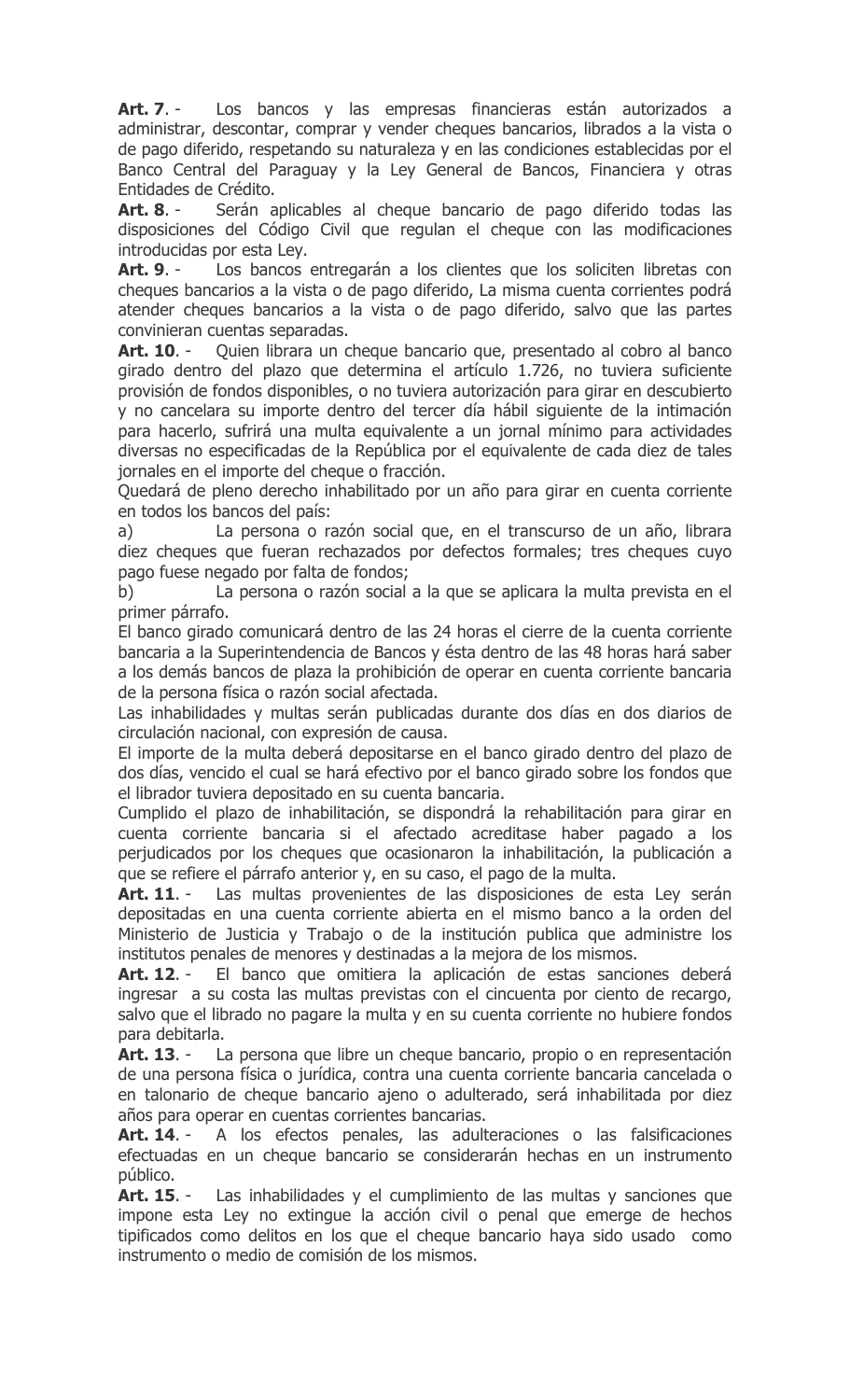Art. 7. -Los bancos y las empresas financieras están autorizados a administrar, descontar, comprar y vender cheques bancarios, librados a la vista o de pago diferido, respetando su naturaleza y en las condiciones establecidas por el Banco Central del Paraguay y la Ley General de Bancos, Financiera y otras Entidades de Crédito.

Art. 8. -Serán aplicables al cheque bancario de pago diferido todas las disposiciones del Código Civil que regulan el cheque con las modificaciones introducidas por esta Ley.

Los bancos entregarán a los clientes que los soliciten libretas con Art. 9. cheques bancarios a la vista o de pago diferido, La misma cuenta corrientes podrá atender cheques bancarios a la vista o de pago diferido, salvo que las partes convinieran cuentas separadas.

Quien librara un cheque bancario que, presentado al cobro al banco Art. 10. girado dentro del plazo que determina el artículo 1.726, no tuviera suficiente provisión de fondos disponibles, o no tuviera autorización para girar en descubierto y no cancelara su importe dentro del tercer día hábil siguiente de la intimación para hacerlo, sufrirá una multa equivalente a un jornal mínimo para actividades diversas no especificadas de la República por el equivalente de cada diez de tales jornales en el importe del cheque o fracción.

Quedará de pleno derecho inhabilitado por un año para girar en cuenta corriente en todos los bancos del país:

La persona o razón social que, en el transcurso de un año, librara a) diez cheques que fueran rechazados por defectos formales; tres cheques cuyo pago fuese negado por falta de fondos;

La persona o razón social a la que se aplicara la multa prevista en el b) primer párrafo.

El banco girado comunicará dentro de las 24 horas el cierre de la cuenta corriente bancaria a la Superintendencia de Bancos y ésta dentro de las 48 horas hará saber a los demás bancos de plaza la prohibición de operar en cuenta corriente bancaria de la persona física o razón social afectada.

Las inhabilidades y multas serán publicadas durante dos días en dos diarios de circulación nacional, con expresión de causa.

El importe de la multa deberá depositarse en el banco girado dentro del plazo de dos días, vencido el cual se hará efectivo por el banco girado sobre los fondos que el librador tuviera depositado en su cuenta bancaria.

Cumplido el plazo de inhabilitación, se dispondrá la rehabilitación para girar en cuenta corriente bancaria si el afectado acreditase haber pagado a los perjudicados por los cheques que ocasionaron la inhabilitación, la publicación a que se refiere el párrafo anterior y, en su caso, el pago de la multa.

Las multas provenientes de las disposiciones de esta Ley serán Art. 11. depositadas en una cuenta corriente abierta en el mismo banco a la orden del Ministerio de Justicia y Trabajo o de la institución publica que administre los institutos penales de menores y destinadas a la mejora de los mismos.

Art. 12. -El banco que omitiera la aplicación de estas sanciones deberá ingresar a su costa las multas previstas con el cincuenta por ciento de recargo, salvo que el librado no pagare la multa y en su cuenta corriente no hubiere fondos para debitarla.

Art. 13. -La persona que libre un cheque bancario, propio o en representación de una persona física o jurídica, contra una cuenta corriente bancaria cancelada o en talonario de cheque bancario ajeno o adulterado, será inhabilitada por diez años para operar en cuentas corrientes bancarias.

A los efectos penales, las adulteraciones o las falsificaciones Art. 14. efectuadas en un cheque bancario se considerarán hechas en un instrumento público.

Art. 15. -Las inhabilidades y el cumplimiento de las multas y sanciones que impone esta Ley no extingue la acción civil o penal que emerge de hechos tipificados como delitos en los que el cheque bancario haya sido usado como instrumento o medio de comisión de los mismos.